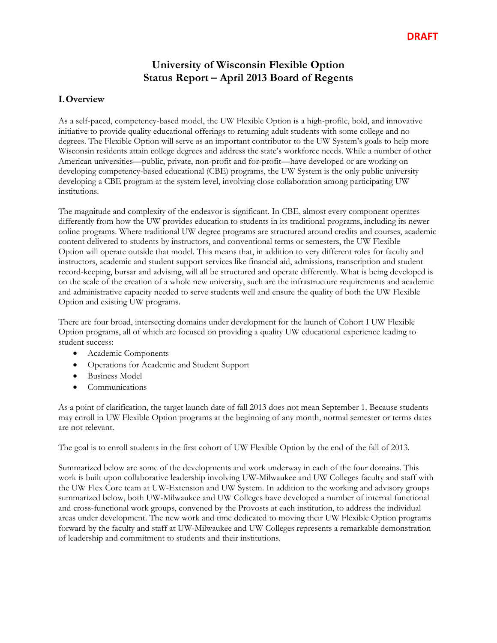# **University of Wisconsin Flexible Option Status Report – April 2013 Board of Regents**

## **I.Overview**

As a self-paced, competency-based model, the UW Flexible Option is a high-profile, bold, and innovative initiative to provide quality educational offerings to returning adult students with some college and no degrees. The Flexible Option will serve as an important contributor to the UW System's goals to help more Wisconsin residents attain college degrees and address the state's workforce needs. While a number of other American universities—public, private, non-profit and for-profit—have developed or are working on developing competency-based educational (CBE) programs, the UW System is the only public university developing a CBE program at the system level, involving close collaboration among participating UW institutions.

The magnitude and complexity of the endeavor is significant. In CBE, almost every component operates differently from how the UW provides education to students in its traditional programs, including its newer online programs. Where traditional UW degree programs are structured around credits and courses, academic content delivered to students by instructors, and conventional terms or semesters, the UW Flexible Option will operate outside that model. This means that, in addition to very different roles for faculty and instructors, academic and student support services like financial aid, admissions, transcription and student record-keeping, bursar and advising, will all be structured and operate differently. What is being developed is on the scale of the creation of a whole new university, such are the infrastructure requirements and academic and administrative capacity needed to serve students well and ensure the quality of both the UW Flexible Option and existing UW programs.

There are four broad, intersecting domains under development for the launch of Cohort I UW Flexible Option programs, all of which are focused on providing a quality UW educational experience leading to student success:

- Academic Components
- Operations for Academic and Student Support
- Business Model
- Communications

As a point of clarification, the target launch date of fall 2013 does not mean September 1. Because students may enroll in UW Flexible Option programs at the beginning of any month, normal semester or terms dates are not relevant.

The goal is to enroll students in the first cohort of UW Flexible Option by the end of the fall of 2013.

Summarized below are some of the developments and work underway in each of the four domains. This work is built upon collaborative leadership involving UW-Milwaukee and UW Colleges faculty and staff with the UW Flex Core team at UW-Extension and UW System. In addition to the working and advisory groups summarized below, both UW-Milwaukee and UW Colleges have developed a number of internal functional and cross-functional work groups, convened by the Provosts at each institution, to address the individual areas under development. The new work and time dedicated to moving their UW Flexible Option programs forward by the faculty and staff at UW-Milwaukee and UW Colleges represents a remarkable demonstration of leadership and commitment to students and their institutions.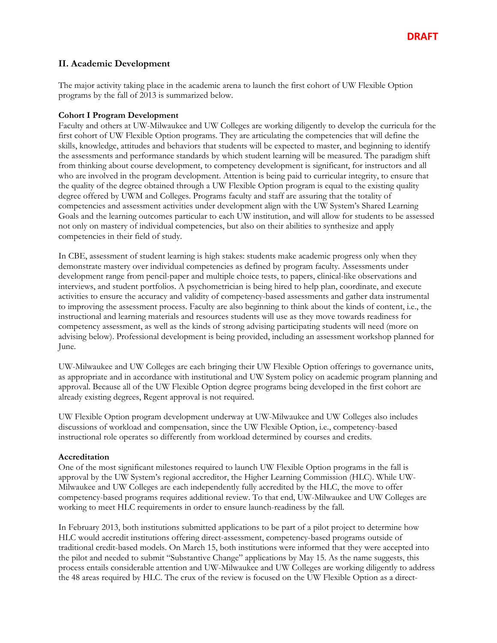## **II. Academic Development**

The major activity taking place in the academic arena to launch the first cohort of UW Flexible Option programs by the fall of 2013 is summarized below.

#### **Cohort I Program Development**

Faculty and others at UW-Milwaukee and UW Colleges are working diligently to develop the curricula for the first cohort of UW Flexible Option programs. They are articulating the competencies that will define the skills, knowledge, attitudes and behaviors that students will be expected to master, and beginning to identify the assessments and performance standards by which student learning will be measured. The paradigm shift from thinking about course development, to competency development is significant, for instructors and all who are involved in the program development. Attention is being paid to curricular integrity, to ensure that the quality of the degree obtained through a UW Flexible Option program is equal to the existing quality degree offered by UWM and Colleges. Programs faculty and staff are assuring that the totality of competencies and assessment activities under development align with the UW System's Shared Learning Goals and the learning outcomes particular to each UW institution, and will allow for students to be assessed not only on mastery of individual competencies, but also on their abilities to synthesize and apply competencies in their field of study.

In CBE, assessment of student learning is high stakes: students make academic progress only when they demonstrate mastery over individual competencies as defined by program faculty. Assessments under development range from pencil-paper and multiple choice tests, to papers, clinical-like observations and interviews, and student portfolios. A psychometrician is being hired to help plan, coordinate, and execute activities to ensure the accuracy and validity of competency-based assessments and gather data instrumental to improving the assessment process. Faculty are also beginning to think about the kinds of content, i.e., the instructional and learning materials and resources students will use as they move towards readiness for competency assessment, as well as the kinds of strong advising participating students will need (more on advising below). Professional development is being provided, including an assessment workshop planned for June.

UW-Milwaukee and UW Colleges are each bringing their UW Flexible Option offerings to governance units, as appropriate and in accordance with institutional and UW System policy on academic program planning and approval. Because all of the UW Flexible Option degree programs being developed in the first cohort are already existing degrees, Regent approval is not required.

UW Flexible Option program development underway at UW-Milwaukee and UW Colleges also includes discussions of workload and compensation, since the UW Flexible Option, i.e., competency-based instructional role operates so differently from workload determined by courses and credits.

#### **Accreditation**

One of the most significant milestones required to launch UW Flexible Option programs in the fall is approval by the UW System's regional accreditor, the Higher Learning Commission (HLC). While UW-Milwaukee and UW Colleges are each independently fully accredited by the HLC, the move to offer competency-based programs requires additional review. To that end, UW-Milwaukee and UW Colleges are working to meet HLC requirements in order to ensure launch-readiness by the fall.

In February 2013, both institutions submitted applications to be part of a pilot project to determine how HLC would accredit institutions offering direct-assessment, competency-based programs outside of traditional credit-based models. On March 15, both institutions were informed that they were accepted into the pilot and needed to submit "Substantive Change" applications by May 15. As the name suggests, this process entails considerable attention and UW-Milwaukee and UW Colleges are working diligently to address the 48 areas required by HLC. The crux of the review is focused on the UW Flexible Option as a direct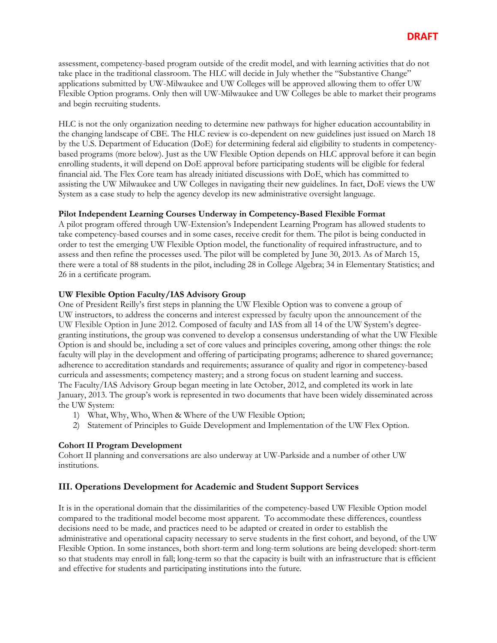assessment, competency-based program outside of the credit model, and with learning activities that do not take place in the traditional classroom. The HLC will decide in July whether the "Substantive Change" applications submitted by UW-Milwaukee and UW Colleges will be approved allowing them to offer UW Flexible Option programs. Only then will UW-Milwaukee and UW Colleges be able to market their programs and begin recruiting students.

HLC is not the only organization needing to determine new pathways for higher education accountability in the changing landscape of CBE. The HLC review is co-dependent on new guidelines just issued on March 18 by the U.S. Department of Education (DoE) for determining federal aid eligibility to students in competencybased programs (more below). Just as the UW Flexible Option depends on HLC approval before it can begin enrolling students, it will depend on DoE approval before participating students will be eligible for federal financial aid. The Flex Core team has already initiated discussions with DoE, which has committed to assisting the UW Milwaukee and UW Colleges in navigating their new guidelines. In fact, DoE views the UW System as a case study to help the agency develop its new administrative oversight language.

### **Pilot Independent Learning Courses Underway in Competency-Based Flexible Format**

A pilot program offered through UW-Extension's Independent Learning Program has allowed students to take competency-based courses and in some cases, receive credit for them. The pilot is being conducted in order to test the emerging UW Flexible Option model, the functionality of required infrastructure, and to assess and then refine the processes used. The pilot will be completed by June 30, 2013. As of March 15, there were a total of 88 students in the pilot, including 28 in College Algebra; 34 in Elementary Statistics; and 26 in a certificate program.

#### **UW Flexible Option Faculty/IAS Advisory Group**

One of President Reilly's first steps in planning the UW Flexible Option was to convene a group of UW instructors, to address the concerns and interest expressed by faculty upon the announcement of the UW Flexible Option in June 2012. Composed of faculty and IAS from all 14 of the UW System's degreegranting institutions, the group was convened to develop a consensus understanding of what the UW Flexible Option is and should be, including a set of core values and principles covering, among other things: the role faculty will play in the development and offering of participating programs; adherence to shared governance; adherence to accreditation standards and requirements; assurance of quality and rigor in competency-based curricula and assessments; competency mastery; and a strong focus on student learning and success. The Faculty/IAS Advisory Group began meeting in late October, 2012, and completed its work in late January, 2013. The group's work is represented in two documents that have been widely disseminated across the UW System:

- 1) What, Why, Who, When & Where of the UW Flexible Option;
- 2) Statement of Principles to Guide Development and Implementation of the UW Flex Option.

### **Cohort II Program Development**

Cohort II planning and conversations are also underway at UW-Parkside and a number of other UW institutions.

## **III. Operations Development for Academic and Student Support Services**

It is in the operational domain that the dissimilarities of the competency-based UW Flexible Option model compared to the traditional model become most apparent. To accommodate these differences, countless decisions need to be made, and practices need to be adapted or created in order to establish the administrative and operational capacity necessary to serve students in the first cohort, and beyond, of the UW Flexible Option. In some instances, both short-term and long-term solutions are being developed: short-term so that students may enroll in fall; long-term so that the capacity is built with an infrastructure that is efficient and effective for students and participating institutions into the future.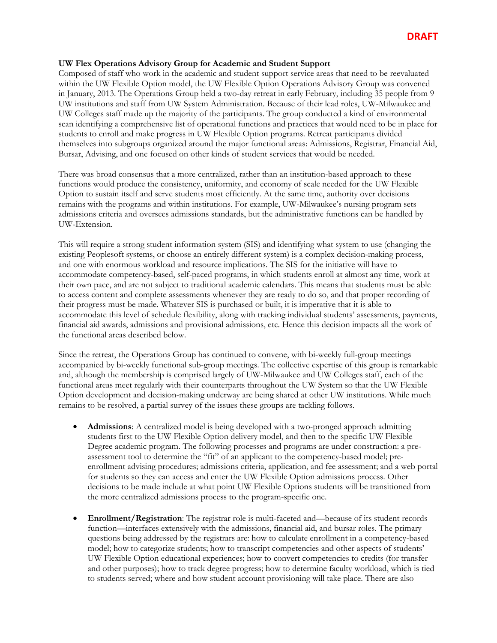#### **UW Flex Operations Advisory Group for Academic and Student Support**

Composed of staff who work in the academic and student support service areas that need to be reevaluated within the UW Flexible Option model, the UW Flexible Option Operations Advisory Group was convened in January, 2013. The Operations Group held a two-day retreat in early February, including 35 people from 9 UW institutions and staff from UW System Administration. Because of their lead roles, UW-Milwaukee and UW Colleges staff made up the majority of the participants. The group conducted a kind of environmental scan identifying a comprehensive list of operational functions and practices that would need to be in place for students to enroll and make progress in UW Flexible Option programs. Retreat participants divided themselves into subgroups organized around the major functional areas: Admissions, Registrar, Financial Aid, Bursar, Advising, and one focused on other kinds of student services that would be needed.

There was broad consensus that a more centralized, rather than an institution-based approach to these functions would produce the consistency, uniformity, and economy of scale needed for the UW Flexible Option to sustain itself and serve students most efficiently. At the same time, authority over decisions remains with the programs and within institutions. For example, UW-Milwaukee's nursing program sets admissions criteria and oversees admissions standards, but the administrative functions can be handled by UW-Extension.

This will require a strong student information system (SIS) and identifying what system to use (changing the existing Peoplesoft systems, or choose an entirely different system) is a complex decision-making process, and one with enormous workload and resource implications. The SIS for the initiative will have to accommodate competency-based, self-paced programs, in which students enroll at almost any time, work at their own pace, and are not subject to traditional academic calendars. This means that students must be able to access content and complete assessments whenever they are ready to do so, and that proper recording of their progress must be made. Whatever SIS is purchased or built, it is imperative that it is able to accommodate this level of schedule flexibility, along with tracking individual students' assessments, payments, financial aid awards, admissions and provisional admissions, etc. Hence this decision impacts all the work of the functional areas described below.

Since the retreat, the Operations Group has continued to convene, with bi-weekly full-group meetings accompanied by bi-weekly functional sub-group meetings. The collective expertise of this group is remarkable and, although the membership is comprised largely of UW-Milwaukee and UW Colleges staff, each of the functional areas meet regularly with their counterparts throughout the UW System so that the UW Flexible Option development and decision-making underway are being shared at other UW institutions. While much remains to be resolved, a partial survey of the issues these groups are tackling follows.

- **Admissions**: A centralized model is being developed with a two-pronged approach admitting students first to the UW Flexible Option delivery model, and then to the specific UW Flexible Degree academic program. The following processes and programs are under construction: a preassessment tool to determine the "fit" of an applicant to the competency-based model; preenrollment advising procedures; admissions criteria, application, and fee assessment; and a web portal for students so they can access and enter the UW Flexible Option admissions process. Other decisions to be made include at what point UW Flexible Options students will be transitioned from the more centralized admissions process to the program-specific one.
- **Enrollment/Registration**: The registrar role is multi-faceted and—because of its student records function—interfaces extensively with the admissions, financial aid, and bursar roles. The primary questions being addressed by the registrars are: how to calculate enrollment in a competency-based model; how to categorize students; how to transcript competencies and other aspects of students' UW Flexible Option educational experiences; how to convert competencies to credits (for transfer and other purposes); how to track degree progress; how to determine faculty workload, which is tied to students served; where and how student account provisioning will take place. There are also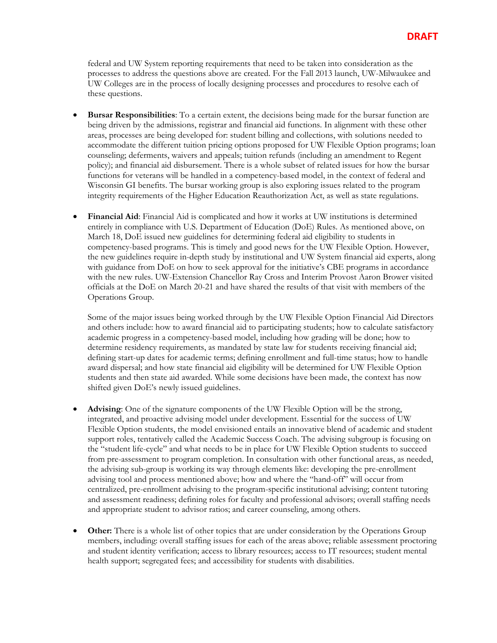federal and UW System reporting requirements that need to be taken into consideration as the processes to address the questions above are created. For the Fall 2013 launch, UW-Milwaukee and UW Colleges are in the process of locally designing processes and procedures to resolve each of these questions.

- **Bursar Responsibilities**: To a certain extent, the decisions being made for the bursar function are being driven by the admissions, registrar and financial aid functions. In alignment with these other areas, processes are being developed for: student billing and collections, with solutions needed to accommodate the different tuition pricing options proposed for UW Flexible Option programs; loan counseling; deferments, waivers and appeals; tuition refunds (including an amendment to Regent policy); and financial aid disbursement. There is a whole subset of related issues for how the bursar functions for veterans will be handled in a competency-based model, in the context of federal and Wisconsin GI benefits. The bursar working group is also exploring issues related to the program integrity requirements of the Higher Education Reauthorization Act, as well as state regulations.
- **Financial Aid**: Financial Aid is complicated and how it works at UW institutions is determined entirely in compliance with U.S. Department of Education (DoE) Rules. As mentioned above, on March 18, DoE issued new guidelines for determining federal aid eligibility to students in competency-based programs. This is timely and good news for the UW Flexible Option. However, the new guidelines require in-depth study by institutional and UW System financial aid experts, along with guidance from DoE on how to seek approval for the initiative's CBE programs in accordance with the new rules. UW-Extension Chancellor Ray Cross and Interim Provost Aaron Brower visited officials at the DoE on March 20-21 and have shared the results of that visit with members of the Operations Group.

Some of the major issues being worked through by the UW Flexible Option Financial Aid Directors and others include: how to award financial aid to participating students; how to calculate satisfactory academic progress in a competency-based model, including how grading will be done; how to determine residency requirements, as mandated by state law for students receiving financial aid; defining start-up dates for academic terms; defining enrollment and full-time status; how to handle award dispersal; and how state financial aid eligibility will be determined for UW Flexible Option students and then state aid awarded. While some decisions have been made, the context has now shifted given DoE's newly issued guidelines.

- **Advising**: One of the signature components of the UW Flexible Option will be the strong, integrated, and proactive advising model under development. Essential for the success of UW Flexible Option students, the model envisioned entails an innovative blend of academic and student support roles, tentatively called the Academic Success Coach. The advising subgroup is focusing on the "student life-cycle" and what needs to be in place for UW Flexible Option students to succeed from pre-assessment to program completion. In consultation with other functional areas, as needed, the advising sub-group is working its way through elements like: developing the pre-enrollment advising tool and process mentioned above; how and where the "hand-off" will occur from centralized, pre-enrollment advising to the program-specific institutional advising; content tutoring and assessment readiness; defining roles for faculty and professional advisors; overall staffing needs and appropriate student to advisor ratios; and career counseling, among others.
- **Other:** There is a whole list of other topics that are under consideration by the Operations Group members, including: overall staffing issues for each of the areas above; reliable assessment proctoring and student identity verification; access to library resources; access to IT resources; student mental health support; segregated fees; and accessibility for students with disabilities.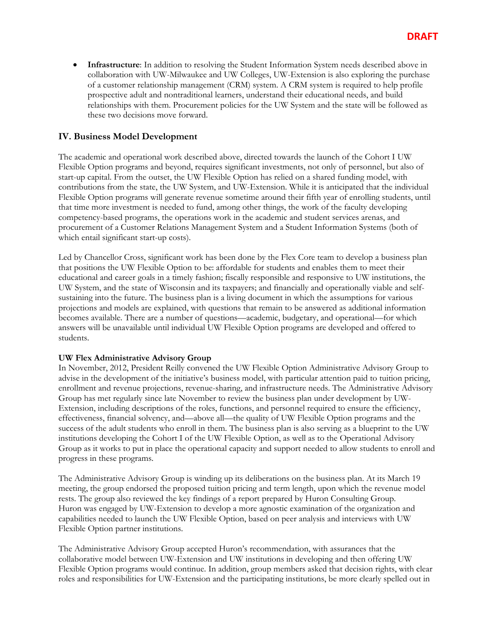**Infrastructure**: In addition to resolving the Student Information System needs described above in collaboration with UW-Milwaukee and UW Colleges, UW-Extension is also exploring the purchase of a customer relationship management (CRM) system. A CRM system is required to help profile prospective adult and nontraditional learners, understand their educational needs, and build relationships with them. Procurement policies for the UW System and the state will be followed as these two decisions move forward.

## **IV. Business Model Development**

The academic and operational work described above, directed towards the launch of the Cohort I UW Flexible Option programs and beyond, requires significant investments, not only of personnel, but also of start-up capital. From the outset, the UW Flexible Option has relied on a shared funding model, with contributions from the state, the UW System, and UW-Extension. While it is anticipated that the individual Flexible Option programs will generate revenue sometime around their fifth year of enrolling students, until that time more investment is needed to fund, among other things, the work of the faculty developing competency-based programs, the operations work in the academic and student services arenas, and procurement of a Customer Relations Management System and a Student Information Systems (both of which entail significant start-up costs).

Led by Chancellor Cross, significant work has been done by the Flex Core team to develop a business plan that positions the UW Flexible Option to be: affordable for students and enables them to meet their educational and career goals in a timely fashion; fiscally responsible and responsive to UW institutions, the UW System, and the state of Wisconsin and its taxpayers; and financially and operationally viable and selfsustaining into the future. The business plan is a living document in which the assumptions for various projections and models are explained, with questions that remain to be answered as additional information becomes available. There are a number of questions—academic, budgetary, and operational—for which answers will be unavailable until individual UW Flexible Option programs are developed and offered to students.

#### **UW Flex Administrative Advisory Group**

In November, 2012, President Reilly convened the UW Flexible Option Administrative Advisory Group to advise in the development of the initiative's business model, with particular attention paid to tuition pricing, enrollment and revenue projections, revenue-sharing, and infrastructure needs. The Administrative Advisory Group has met regularly since late November to review the business plan under development by UW-Extension, including descriptions of the roles, functions, and personnel required to ensure the efficiency, effectiveness, financial solvency, and—above all—the quality of UW Flexible Option programs and the success of the adult students who enroll in them. The business plan is also serving as a blueprint to the UW institutions developing the Cohort I of the UW Flexible Option, as well as to the Operational Advisory Group as it works to put in place the operational capacity and support needed to allow students to enroll and progress in these programs.

The Administrative Advisory Group is winding up its deliberations on the business plan. At its March 19 meeting, the group endorsed the proposed tuition pricing and term length, upon which the revenue model rests. The group also reviewed the key findings of a report prepared by Huron Consulting Group. Huron was engaged by UW-Extension to develop a more agnostic examination of the organization and capabilities needed to launch the UW Flexible Option, based on peer analysis and interviews with UW Flexible Option partner institutions.

The Administrative Advisory Group accepted Huron's recommendation, with assurances that the collaborative model between UW-Extension and UW institutions in developing and then offering UW Flexible Option programs would continue. In addition, group members asked that decision rights, with clear roles and responsibilities for UW-Extension and the participating institutions, be more clearly spelled out in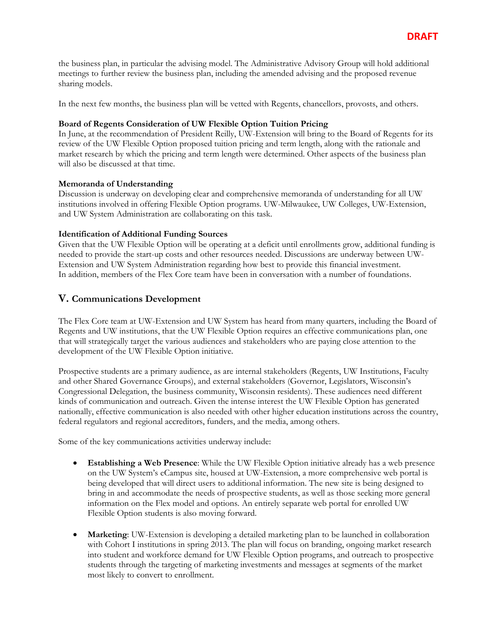the business plan, in particular the advising model. The Administrative Advisory Group will hold additional meetings to further review the business plan, including the amended advising and the proposed revenue sharing models.

In the next few months, the business plan will be vetted with Regents, chancellors, provosts, and others.

#### **Board of Regents Consideration of UW Flexible Option Tuition Pricing**

In June, at the recommendation of President Reilly, UW-Extension will bring to the Board of Regents for its review of the UW Flexible Option proposed tuition pricing and term length, along with the rationale and market research by which the pricing and term length were determined. Other aspects of the business plan will also be discussed at that time.

#### **Memoranda of Understanding**

Discussion is underway on developing clear and comprehensive memoranda of understanding for all UW institutions involved in offering Flexible Option programs. UW-Milwaukee, UW Colleges, UW-Extension, and UW System Administration are collaborating on this task.

#### **Identification of Additional Funding Sources**

Given that the UW Flexible Option will be operating at a deficit until enrollments grow, additional funding is needed to provide the start-up costs and other resources needed. Discussions are underway between UW-Extension and UW System Administration regarding how best to provide this financial investment. In addition, members of the Flex Core team have been in conversation with a number of foundations.

## **V. Communications Development**

The Flex Core team at UW-Extension and UW System has heard from many quarters, including the Board of Regents and UW institutions, that the UW Flexible Option requires an effective communications plan, one that will strategically target the various audiences and stakeholders who are paying close attention to the development of the UW Flexible Option initiative.

Prospective students are a primary audience, as are internal stakeholders (Regents, UW Institutions, Faculty and other Shared Governance Groups), and external stakeholders (Governor, Legislators, Wisconsin's Congressional Delegation, the business community, Wisconsin residents). These audiences need different kinds of communication and outreach. Given the intense interest the UW Flexible Option has generated nationally, effective communication is also needed with other higher education institutions across the country, federal regulators and regional accreditors, funders, and the media, among others.

Some of the key communications activities underway include:

- **Establishing a Web Presence**: While the UW Flexible Option initiative already has a web presence on the UW System's eCampus site, housed at UW-Extension, a more comprehensive web portal is being developed that will direct users to additional information. The new site is being designed to bring in and accommodate the needs of prospective students, as well as those seeking more general information on the Flex model and options. An entirely separate web portal for enrolled UW Flexible Option students is also moving forward.
- **Marketing**: UW-Extension is developing a detailed marketing plan to be launched in collaboration with Cohort I institutions in spring 2013. The plan will focus on branding, ongoing market research into student and workforce demand for UW Flexible Option programs, and outreach to prospective students through the targeting of marketing investments and messages at segments of the market most likely to convert to enrollment.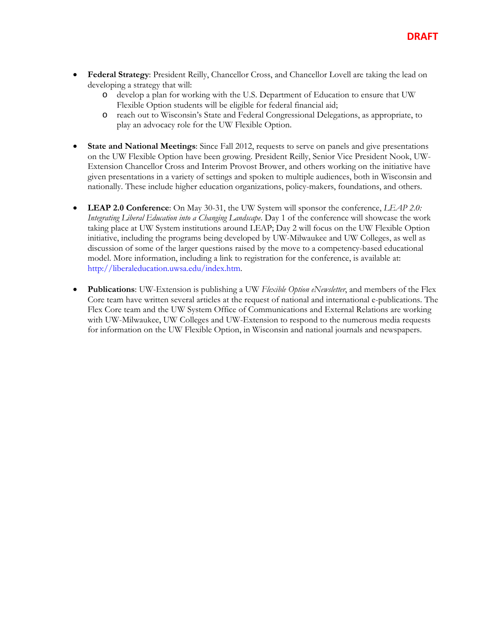- **Federal Strategy**: President Reilly, Chancellor Cross, and Chancellor Lovell are taking the lead on developing a strategy that will:
	- o develop a plan for working with the U.S. Department of Education to ensure that UW Flexible Option students will be eligible for federal financial aid;
	- o reach out to Wisconsin's State and Federal Congressional Delegations, as appropriate, to play an advocacy role for the UW Flexible Option.
- **State and National Meetings**: Since Fall 2012, requests to serve on panels and give presentations on the UW Flexible Option have been growing. President Reilly, Senior Vice President Nook, UW-Extension Chancellor Cross and Interim Provost Brower, and others working on the initiative have given presentations in a variety of settings and spoken to multiple audiences, both in Wisconsin and nationally. These include higher education organizations, policy-makers, foundations, and others.
- **LEAP 2.0 Conference**: On May 30-31, the UW System will sponsor the conference, *LEAP 2.0: Integrating Liberal Education into a Changing Landscape*. Day 1 of the conference will showcase the work taking place at UW System institutions around LEAP; Day 2 will focus on the UW Flexible Option initiative, including the programs being developed by UW-Milwaukee and UW Colleges, as well as discussion of some of the larger questions raised by the move to a competency-based educational model. More information, including a link to registration for the conference, is available at: http://liberaleducation.uwsa.edu/index.htm.
- **Publications**: UW-Extension is publishing a UW *Flexible Option eNewsletter*, and members of the Flex Core team have written several articles at the request of national and international e-publications. The Flex Core team and the UW System Office of Communications and External Relations are working with UW-Milwaukee, UW Colleges and UW-Extension to respond to the numerous media requests for information on the UW Flexible Option, in Wisconsin and national journals and newspapers.